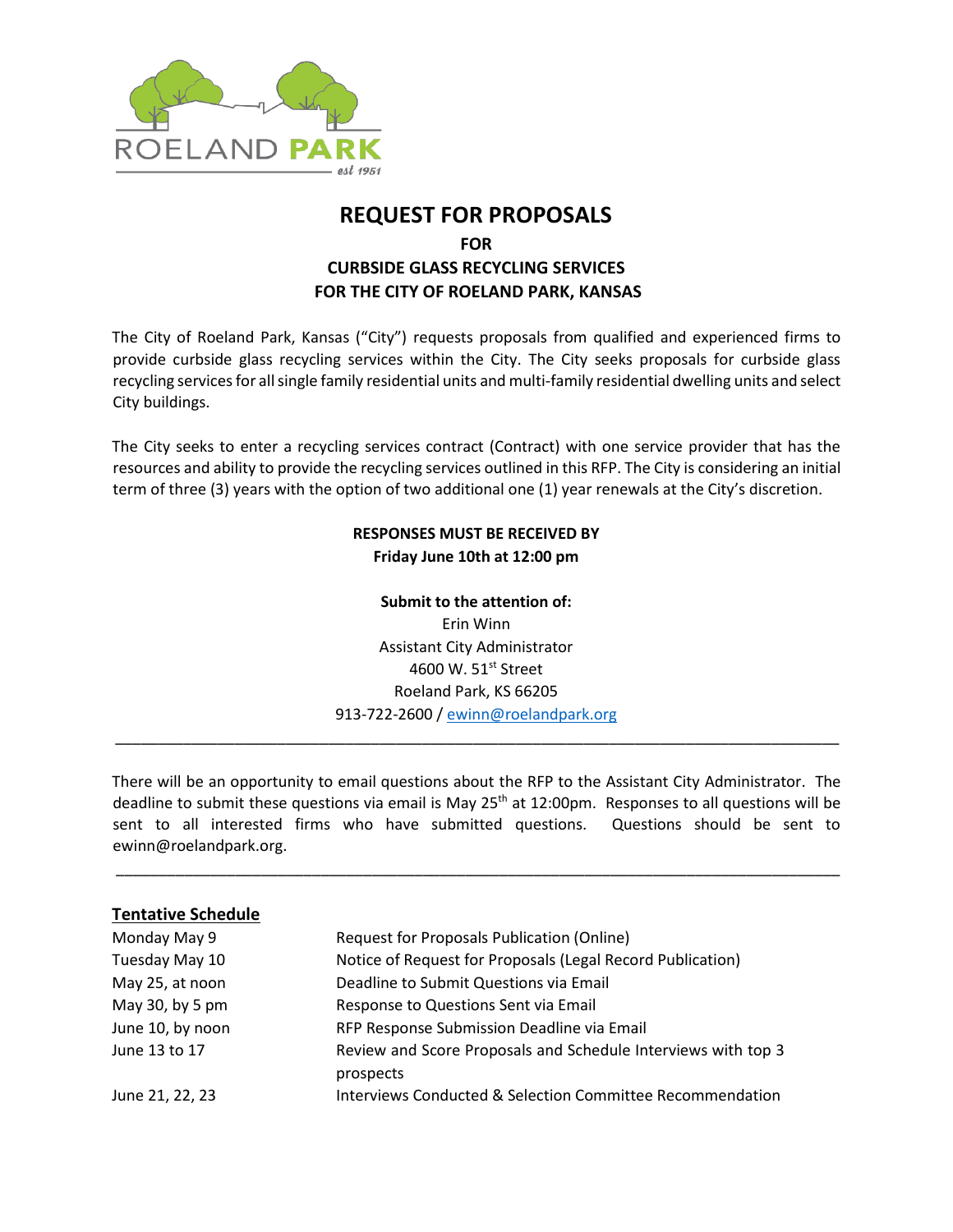

# **REQUEST FOR PROPOSALS**

**FOR**

# **CURBSIDE GLASS RECYCLING SERVICES FOR THE CITY OF ROELAND PARK, KANSAS**

The City of Roeland Park, Kansas ("City") requests proposals from qualified and experienced firms to provide curbside glass recycling services within the City. The City seeks proposals for curbside glass recycling services for all single family residential units and multi-family residential dwelling units and select City buildings.

The City seeks to enter a recycling services contract (Contract) with one service provider that has the resources and ability to provide the recycling services outlined in this RFP. The City is considering an initial term of three (3) years with the option of two additional one (1) year renewals at the City's discretion.

# **RESPONSES MUST BE RECEIVED BY Friday June 10th at 12:00 pm**

# **Submit to the attention of:**

Erin Winn Assistant City Administrator 4600 W. 51st Street Roeland Park, KS 66205 913-722-2600 / [ewinn@roelandpark.org](mailto:ewinn@roelandpark.org)

\_\_\_\_\_\_\_\_\_\_\_\_\_\_\_\_\_\_\_\_\_\_\_\_\_\_\_\_\_\_\_\_\_\_\_\_\_\_\_\_\_\_\_\_\_\_\_\_\_\_\_\_\_\_\_\_\_\_\_\_\_\_\_\_\_\_\_\_\_\_\_\_\_\_\_\_\_\_\_\_\_\_\_\_\_

There will be an opportunity to email questions about the RFP to the Assistant City Administrator. The deadline to submit these questions via email is May  $25<sup>th</sup>$  at 12:00pm. Responses to all questions will be sent to all interested firms who have submitted questions. Questions should be sent to ewinn@roelandpark.org.

\_\_\_\_\_\_\_\_\_\_\_\_\_\_\_\_\_\_\_\_\_\_\_\_\_\_\_\_\_\_\_\_\_\_\_\_\_\_\_\_\_\_\_\_\_\_\_\_\_\_\_\_\_\_\_\_\_\_\_\_\_\_\_\_\_\_\_\_\_\_\_\_\_\_\_\_\_\_\_\_\_\_\_\_\_

# **Tentative Schedule**

| Monday May 9     | Request for Proposals Publication (Online)                           |
|------------------|----------------------------------------------------------------------|
| Tuesday May 10   | Notice of Request for Proposals (Legal Record Publication)           |
| May 25, at noon  | Deadline to Submit Questions via Email                               |
| May 30, by 5 pm  | Response to Questions Sent via Email                                 |
| June 10, by noon | RFP Response Submission Deadline via Email                           |
| June 13 to 17    | Review and Score Proposals and Schedule Interviews with top 3        |
|                  | prospects                                                            |
| June 21, 22, 23  | <b>Interviews Conducted &amp; Selection Committee Recommendation</b> |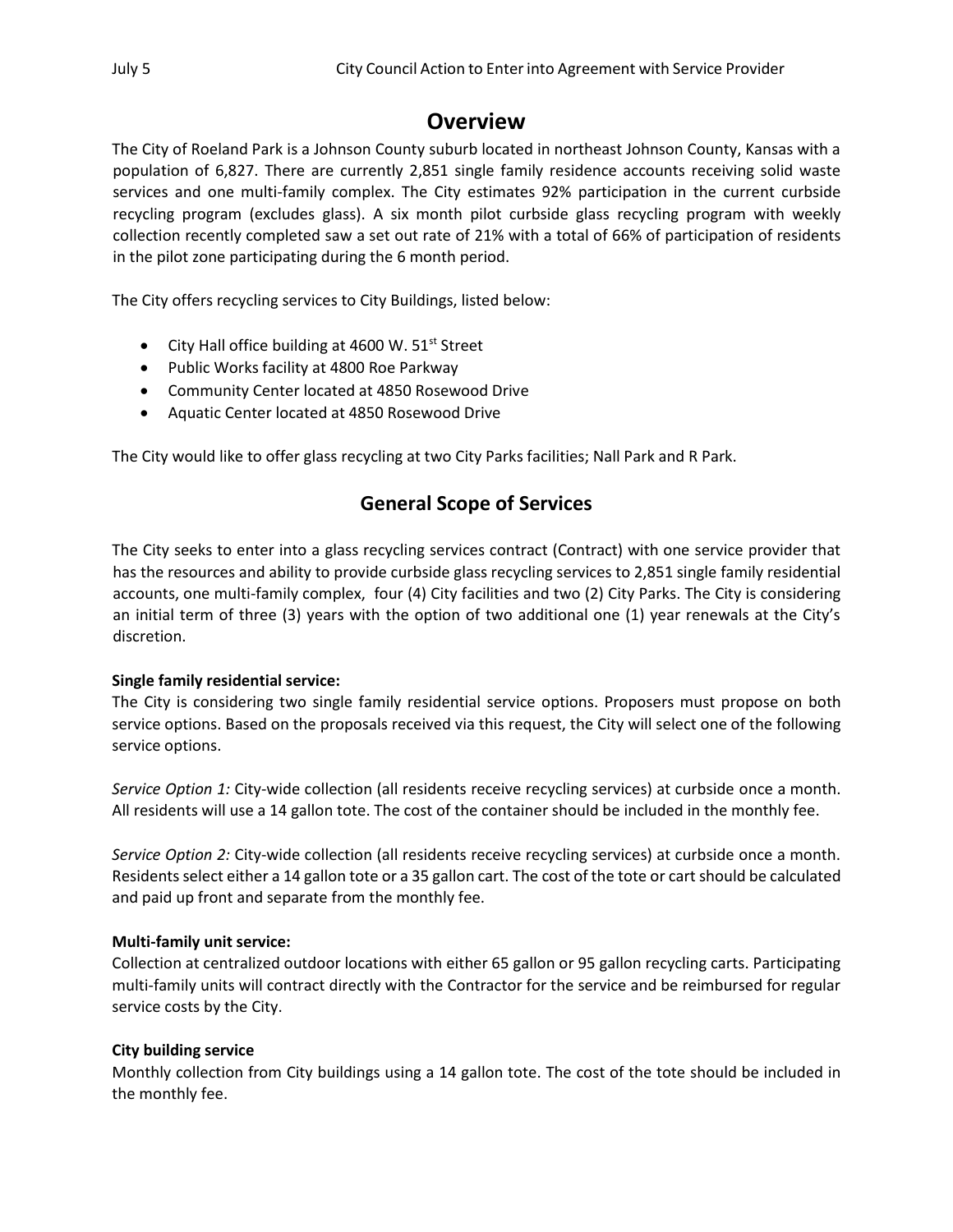# **Overview**

The City of Roeland Park is a Johnson County suburb located in northeast Johnson County, Kansas with a population of 6,827. There are currently 2,851 single family residence accounts receiving solid waste services and one multi-family complex. The City estimates 92% participation in the current curbside recycling program (excludes glass). A six month pilot curbside glass recycling program with weekly collection recently completed saw a set out rate of 21% with a total of 66% of participation of residents in the pilot zone participating during the 6 month period.

The City offers recycling services to City Buildings, listed below:

- City Hall office building at 4600 W.  $51<sup>st</sup>$  Street
- Public Works facility at 4800 Roe Parkway
- Community Center located at 4850 Rosewood Drive
- Aquatic Center located at 4850 Rosewood Drive

The City would like to offer glass recycling at two City Parks facilities; Nall Park and R Park.

# **General Scope of Services**

The City seeks to enter into a glass recycling services contract (Contract) with one service provider that has the resources and ability to provide curbside glass recycling services to 2,851 single family residential accounts, one multi-family complex, four (4) City facilities and two (2) City Parks. The City is considering an initial term of three (3) years with the option of two additional one (1) year renewals at the City's discretion.

#### **Single family residential service:**

The City is considering two single family residential service options. Proposers must propose on both service options. Based on the proposals received via this request, the City will select one of the following service options.

*Service Option 1:* City-wide collection (all residents receive recycling services) at curbside once a month. All residents will use a 14 gallon tote. The cost of the container should be included in the monthly fee.

*Service Option 2:* City-wide collection (all residents receive recycling services) at curbside once a month. Residents select either a 14 gallon tote or a 35 gallon cart. The cost of the tote or cart should be calculated and paid up front and separate from the monthly fee.

#### **Multi-family unit service:**

Collection at centralized outdoor locations with either 65 gallon or 95 gallon recycling carts. Participating multi-family units will contract directly with the Contractor for the service and be reimbursed for regular service costs by the City.

#### **City building service**

Monthly collection from City buildings using a 14 gallon tote. The cost of the tote should be included in the monthly fee.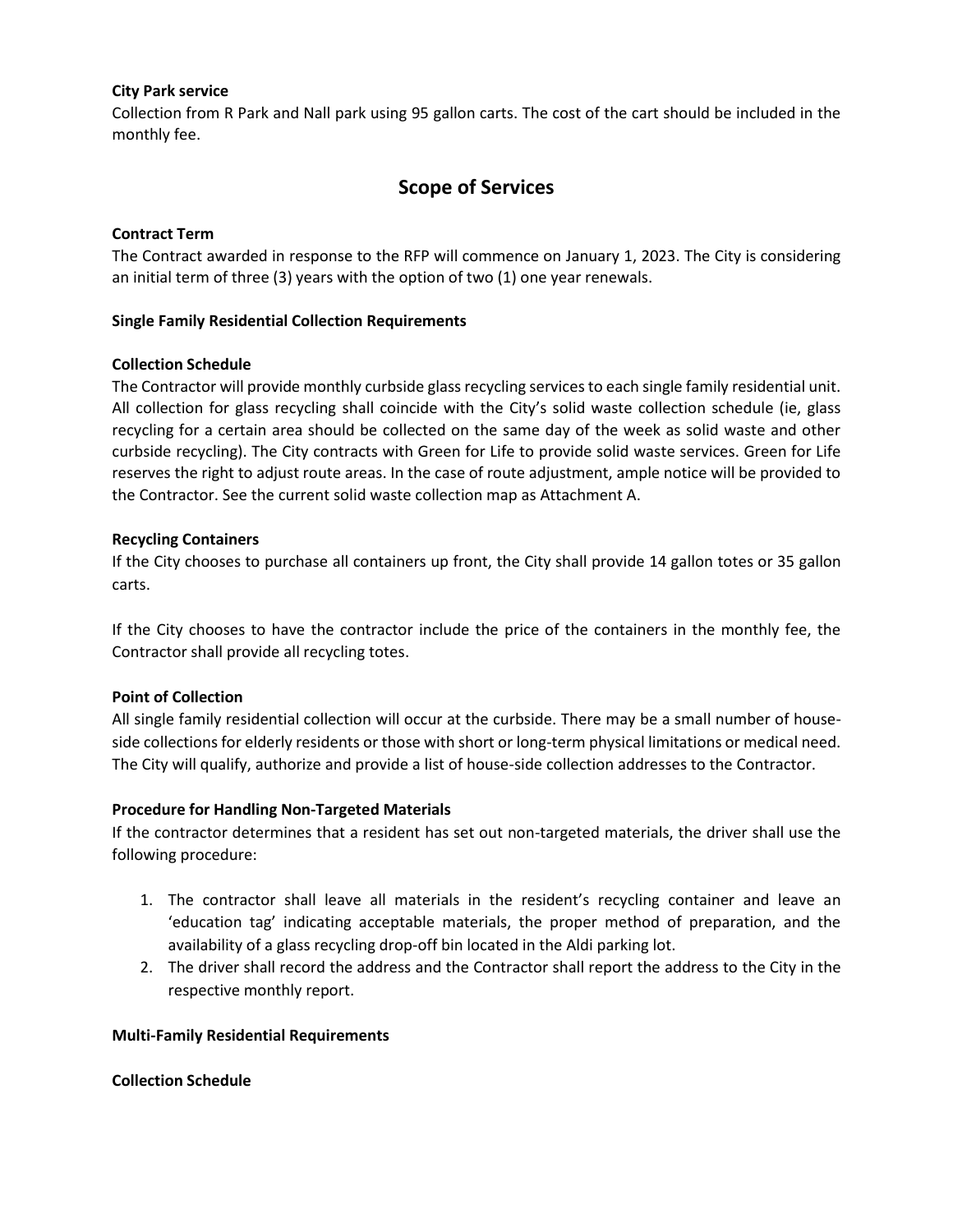#### **City Park service**

Collection from R Park and Nall park using 95 gallon carts. The cost of the cart should be included in the monthly fee.

# **Scope of Services**

#### **Contract Term**

The Contract awarded in response to the RFP will commence on January 1, 2023. The City is considering an initial term of three (3) years with the option of two (1) one year renewals.

#### **Single Family Residential Collection Requirements**

#### **Collection Schedule**

The Contractor will provide monthly curbside glass recycling services to each single family residential unit. All collection for glass recycling shall coincide with the City's solid waste collection schedule (ie, glass recycling for a certain area should be collected on the same day of the week as solid waste and other curbside recycling). The City contracts with Green for Life to provide solid waste services. Green for Life reserves the right to adjust route areas. In the case of route adjustment, ample notice will be provided to the Contractor. See the current solid waste collection map as Attachment A.

#### **Recycling Containers**

If the City chooses to purchase all containers up front, the City shall provide 14 gallon totes or 35 gallon carts.

If the City chooses to have the contractor include the price of the containers in the monthly fee, the Contractor shall provide all recycling totes.

#### **Point of Collection**

All single family residential collection will occur at the curbside. There may be a small number of houseside collections for elderly residents or those with short or long-term physical limitations or medical need. The City will qualify, authorize and provide a list of house-side collection addresses to the Contractor.

#### **Procedure for Handling Non-Targeted Materials**

If the contractor determines that a resident has set out non-targeted materials, the driver shall use the following procedure:

- 1. The contractor shall leave all materials in the resident's recycling container and leave an 'education tag' indicating acceptable materials, the proper method of preparation, and the availability of a glass recycling drop-off bin located in the Aldi parking lot.
- 2. The driver shall record the address and the Contractor shall report the address to the City in the respective monthly report.

#### **Multi-Family Residential Requirements**

#### **Collection Schedule**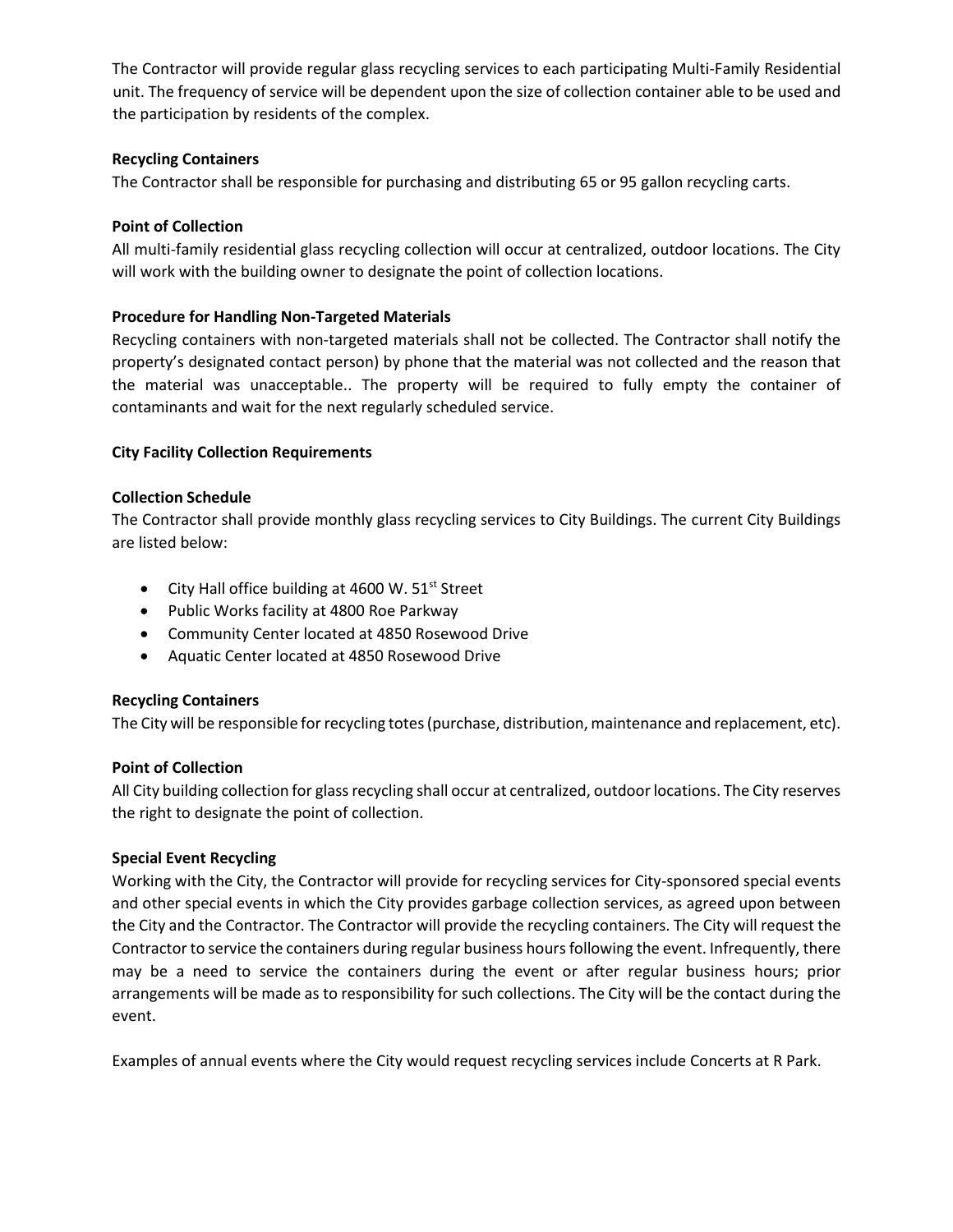The Contractor will provide regular glass recycling services to each participating Multi-Family Residential unit. The frequency of service will be dependent upon the size of collection container able to be used and the participation by residents of the complex.

## **Recycling Containers**

The Contractor shall be responsible for purchasing and distributing 65 or 95 gallon recycling carts.

## **Point of Collection**

All multi-family residential glass recycling collection will occur at centralized, outdoor locations. The City will work with the building owner to designate the point of collection locations.

## **Procedure for Handling Non-Targeted Materials**

Recycling containers with non-targeted materials shall not be collected. The Contractor shall notify the property's designated contact person) by phone that the material was not collected and the reason that the material was unacceptable.. The property will be required to fully empty the container of contaminants and wait for the next regularly scheduled service.

## **City Facility Collection Requirements**

#### **Collection Schedule**

The Contractor shall provide monthly glass recycling services to City Buildings. The current City Buildings are listed below:

- City Hall office building at 4600 W.  $51<sup>st</sup>$  Street
- Public Works facility at 4800 Roe Parkway
- Community Center located at 4850 Rosewood Drive
- Aquatic Center located at 4850 Rosewood Drive

#### **Recycling Containers**

The City will be responsible for recycling totes (purchase, distribution, maintenance and replacement, etc).

#### **Point of Collection**

All City building collection for glass recycling shall occur at centralized, outdoor locations. The City reserves the right to designate the point of collection.

#### **Special Event Recycling**

Working with the City, the Contractor will provide for recycling services for City-sponsored special events and other special events in which the City provides garbage collection services, as agreed upon between the City and the Contractor. The Contractor will provide the recycling containers. The City will request the Contractor to service the containers during regular business hours following the event. Infrequently, there may be a need to service the containers during the event or after regular business hours; prior arrangements will be made as to responsibility for such collections. The City will be the contact during the event.

Examples of annual events where the City would request recycling services include Concerts at R Park.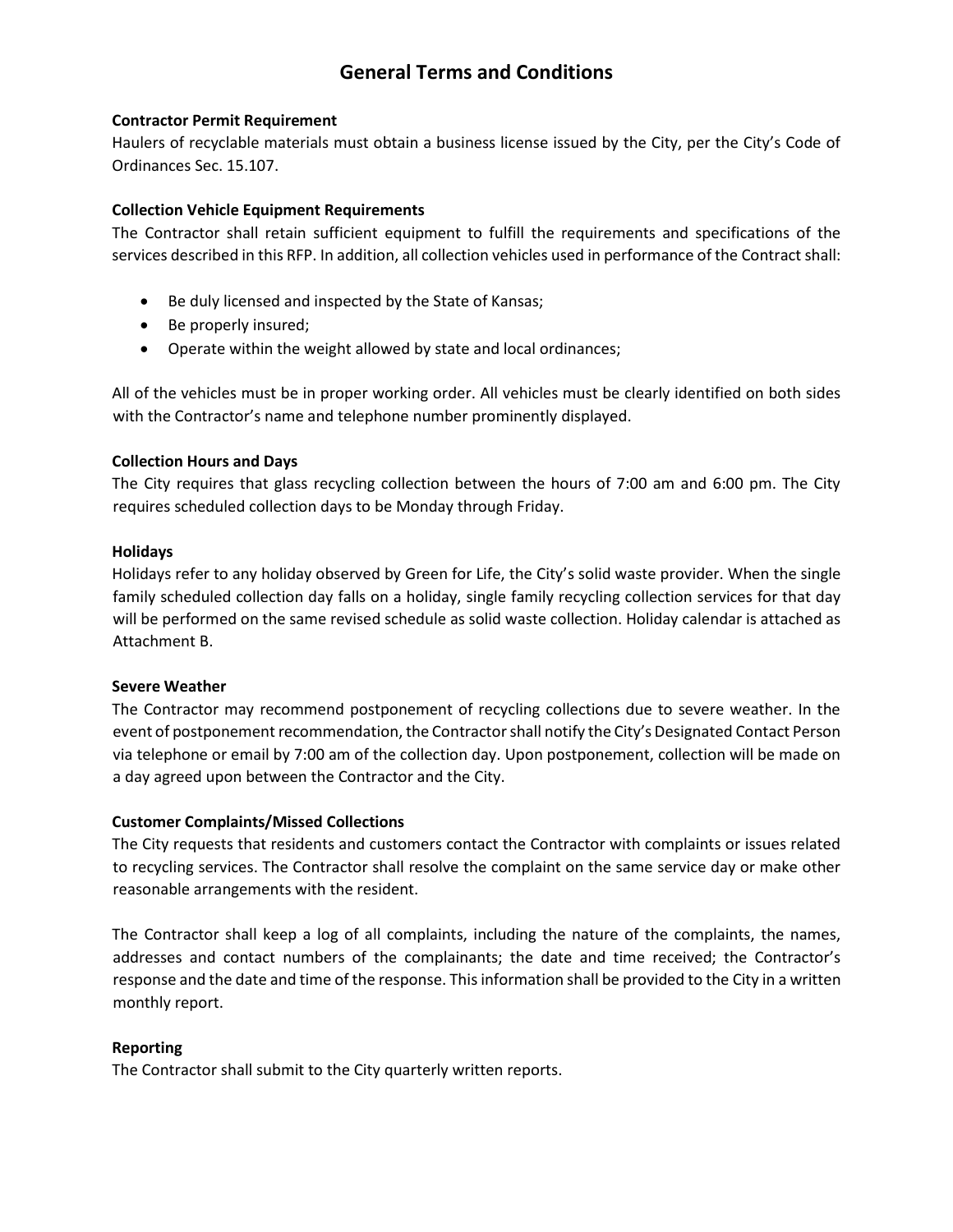# **General Terms and Conditions**

#### **Contractor Permit Requirement**

Haulers of recyclable materials must obtain a business license issued by the City, per the City's Code of Ordinances Sec. 15.107.

#### **Collection Vehicle Equipment Requirements**

The Contractor shall retain sufficient equipment to fulfill the requirements and specifications of the services described in this RFP. In addition, all collection vehicles used in performance of the Contract shall:

- Be duly licensed and inspected by the State of Kansas;
- Be properly insured;
- Operate within the weight allowed by state and local ordinances;

All of the vehicles must be in proper working order. All vehicles must be clearly identified on both sides with the Contractor's name and telephone number prominently displayed.

#### **Collection Hours and Days**

The City requires that glass recycling collection between the hours of 7:00 am and 6:00 pm. The City requires scheduled collection days to be Monday through Friday.

#### **Holidays**

Holidays refer to any holiday observed by Green for Life, the City's solid waste provider. When the single family scheduled collection day falls on a holiday, single family recycling collection services for that day will be performed on the same revised schedule as solid waste collection. Holiday calendar is attached as Attachment B.

#### **Severe Weather**

The Contractor may recommend postponement of recycling collections due to severe weather. In the event of postponement recommendation, the Contractor shall notify the City's Designated Contact Person via telephone or email by 7:00 am of the collection day. Upon postponement, collection will be made on a day agreed upon between the Contractor and the City.

#### **Customer Complaints/Missed Collections**

The City requests that residents and customers contact the Contractor with complaints or issues related to recycling services. The Contractor shall resolve the complaint on the same service day or make other reasonable arrangements with the resident.

The Contractor shall keep a log of all complaints, including the nature of the complaints, the names, addresses and contact numbers of the complainants; the date and time received; the Contractor's response and the date and time of the response. This information shall be provided to the City in a written monthly report.

#### **Reporting**

The Contractor shall submit to the City quarterly written reports.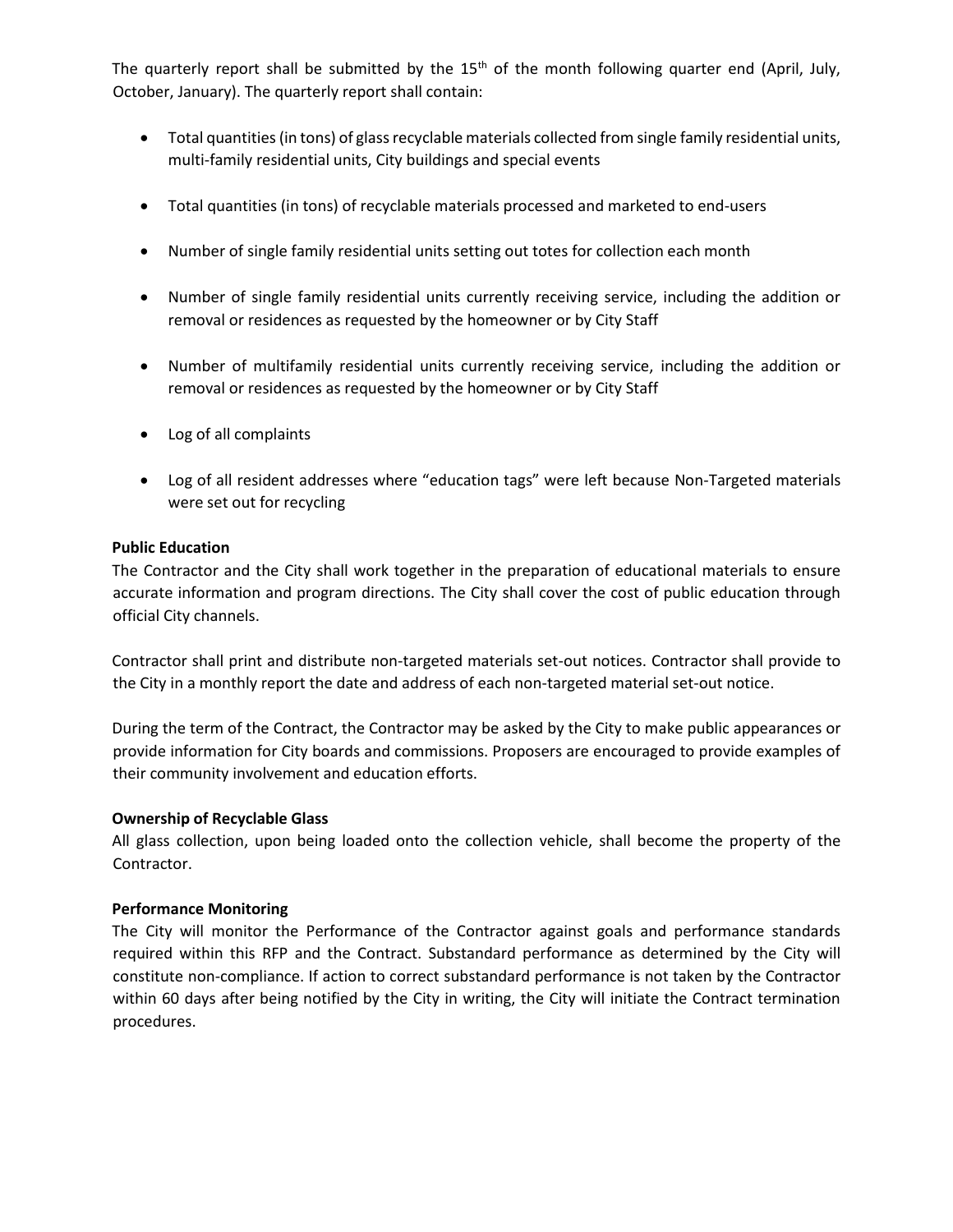The quarterly report shall be submitted by the  $15<sup>th</sup>$  of the month following quarter end (April, July, October, January). The quarterly report shall contain:

- Total quantities (in tons) of glass recyclable materials collected from single family residential units, multi-family residential units, City buildings and special events
- Total quantities (in tons) of recyclable materials processed and marketed to end-users
- Number of single family residential units setting out totes for collection each month
- Number of single family residential units currently receiving service, including the addition or removal or residences as requested by the homeowner or by City Staff
- Number of multifamily residential units currently receiving service, including the addition or removal or residences as requested by the homeowner or by City Staff
- Log of all complaints
- Log of all resident addresses where "education tags" were left because Non-Targeted materials were set out for recycling

#### **Public Education**

The Contractor and the City shall work together in the preparation of educational materials to ensure accurate information and program directions. The City shall cover the cost of public education through official City channels.

Contractor shall print and distribute non-targeted materials set-out notices. Contractor shall provide to the City in a monthly report the date and address of each non-targeted material set-out notice.

During the term of the Contract, the Contractor may be asked by the City to make public appearances or provide information for City boards and commissions. Proposers are encouraged to provide examples of their community involvement and education efforts.

#### **Ownership of Recyclable Glass**

All glass collection, upon being loaded onto the collection vehicle, shall become the property of the Contractor.

#### **Performance Monitoring**

The City will monitor the Performance of the Contractor against goals and performance standards required within this RFP and the Contract. Substandard performance as determined by the City will constitute non-compliance. If action to correct substandard performance is not taken by the Contractor within 60 days after being notified by the City in writing, the City will initiate the Contract termination procedures.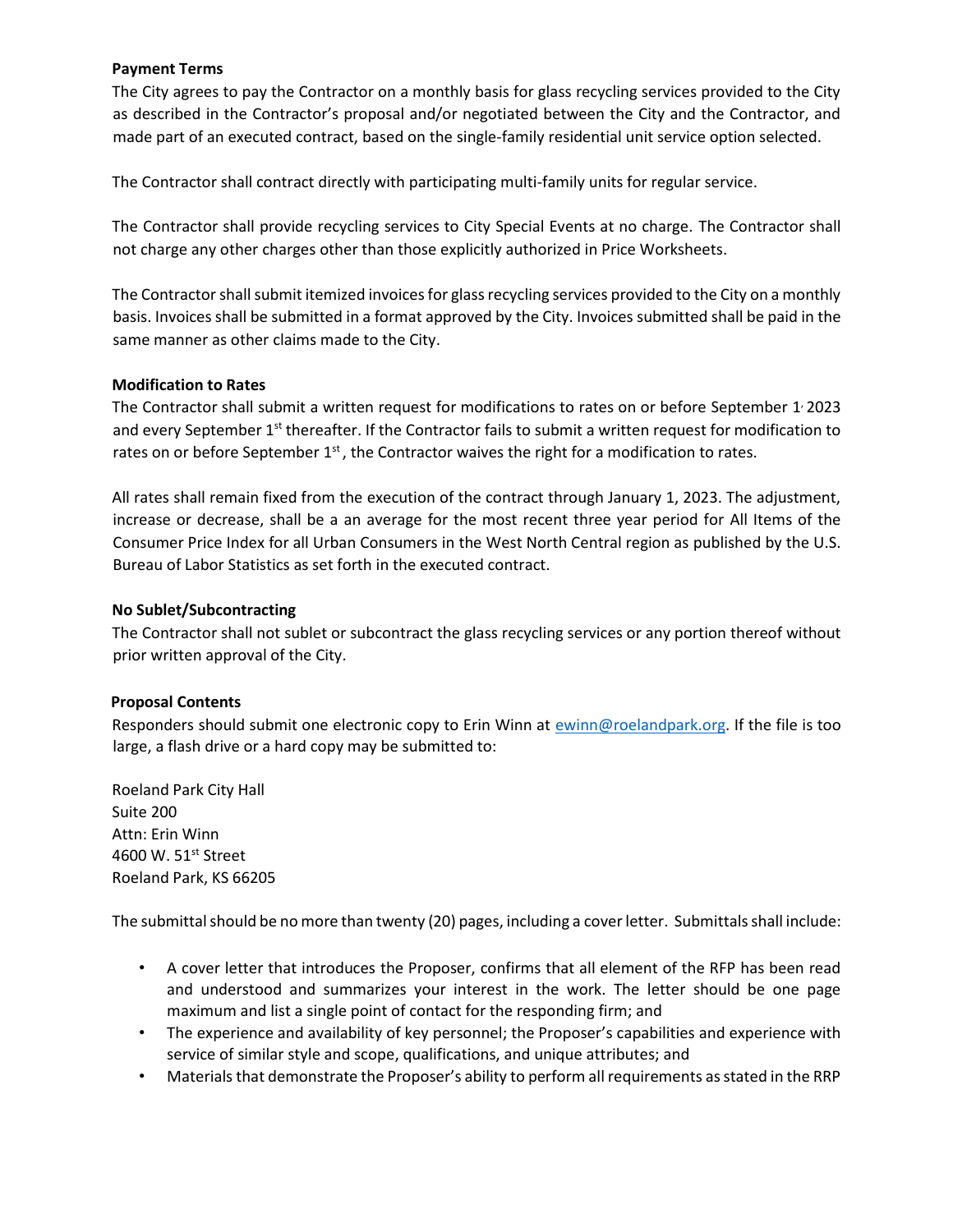#### **Payment Terms**

The City agrees to pay the Contractor on a monthly basis for glass recycling services provided to the City as described in the Contractor's proposal and/or negotiated between the City and the Contractor, and made part of an executed contract, based on the single-family residential unit service option selected.

The Contractor shall contract directly with participating multi-family units for regular service.

The Contractor shall provide recycling services to City Special Events at no charge. The Contractor shall not charge any other charges other than those explicitly authorized in Price Worksheets.

The Contractor shall submit itemized invoices for glass recycling services provided to the City on a monthly basis. Invoices shall be submitted in a format approved by the City. Invoices submitted shall be paid in the same manner as other claims made to the City.

#### **Modification to Rates**

The Contractor shall submit a written request for modifications to rates on or before September 1<sup>,</sup> 2023 and every September 1<sup>st</sup> thereafter. If the Contractor fails to submit a written request for modification to rates on or before September  $1<sup>st</sup>$ , the Contractor waives the right for a modification to rates.

All rates shall remain fixed from the execution of the contract through January 1, 2023. The adjustment, increase or decrease, shall be a an average for the most recent three year period for All Items of the Consumer Price Index for all Urban Consumers in the West North Central region as published by the U.S. Bureau of Labor Statistics as set forth in the executed contract.

#### **No Sublet/Subcontracting**

The Contractor shall not sublet or subcontract the glass recycling services or any portion thereof without prior written approval of the City.

#### **Proposal Contents**

Responders should submit one electronic copy to Erin Winn at [ewinn@roelandpark.org.](mailto:ewinn@roelandpark.org) If the file is too large, a flash drive or a hard copy may be submitted to:

Roeland Park City Hall Suite 200 Attn: Erin Winn 4600 W. 51st Street Roeland Park, KS 66205

The submittal should be no more than twenty (20) pages, including a cover letter. Submittals shall include:

- A cover letter that introduces the Proposer, confirms that all element of the RFP has been read and understood and summarizes your interest in the work. The letter should be one page maximum and list a single point of contact for the responding firm; and
- The experience and availability of key personnel; the Proposer's capabilities and experience with service of similar style and scope, qualifications, and unique attributes; and
- Materials that demonstrate the Proposer's ability to perform all requirements as stated in the RRP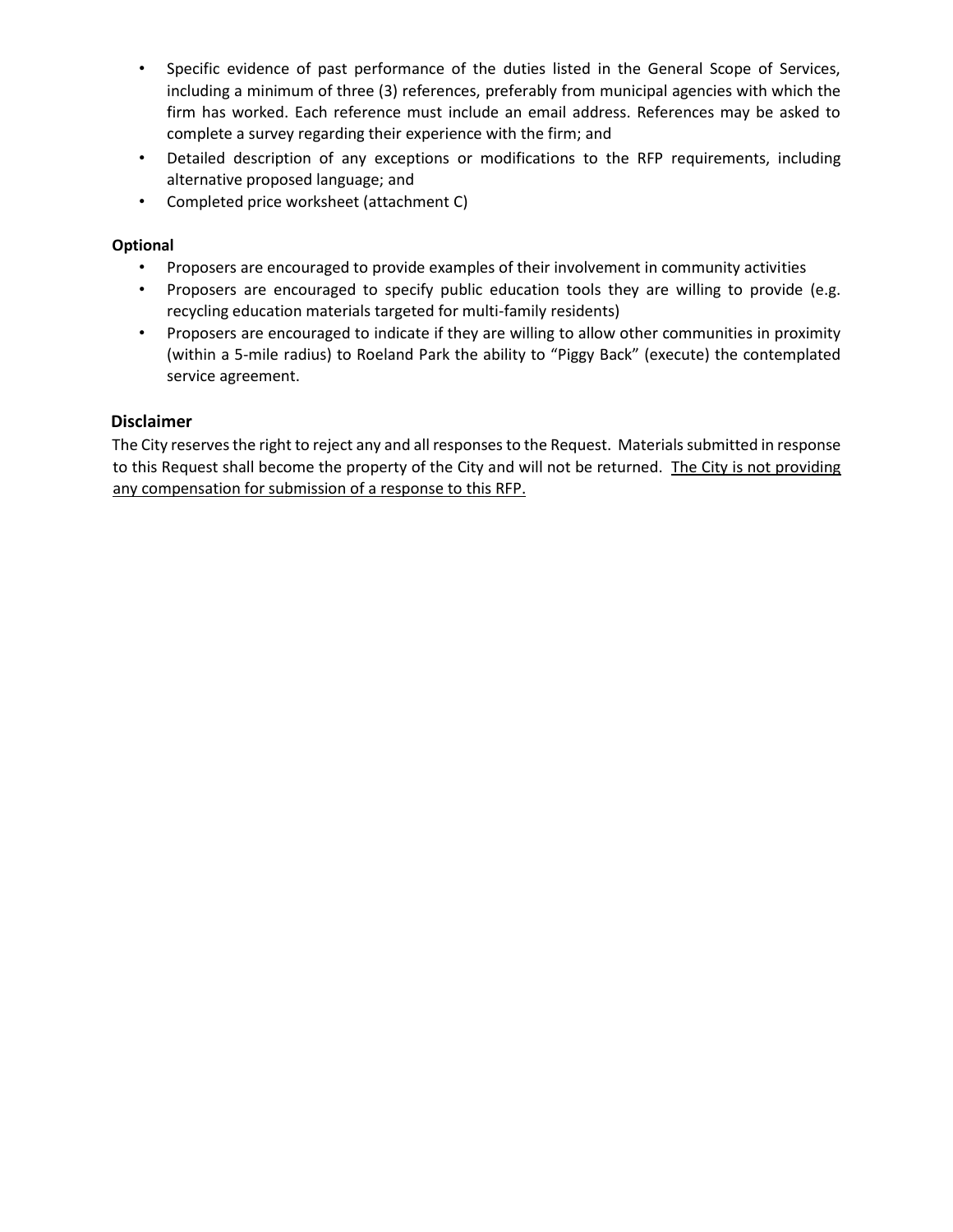- Specific evidence of past performance of the duties listed in the General Scope of Services, including a minimum of three (3) references, preferably from municipal agencies with which the firm has worked. Each reference must include an email address. References may be asked to complete a survey regarding their experience with the firm; and
- Detailed description of any exceptions or modifications to the RFP requirements, including alternative proposed language; and
- Completed price worksheet (attachment C)

## **Optional**

- Proposers are encouraged to provide examples of their involvement in community activities
- Proposers are encouraged to specify public education tools they are willing to provide (e.g. recycling education materials targeted for multi-family residents)
- Proposers are encouraged to indicate if they are willing to allow other communities in proximity (within a 5-mile radius) to Roeland Park the ability to "Piggy Back" (execute) the contemplated service agreement.

## **Disclaimer**

The City reserves the right to reject any and all responses to the Request. Materials submitted in response to this Request shall become the property of the City and will not be returned. The City is not providing any compensation for submission of a response to this RFP.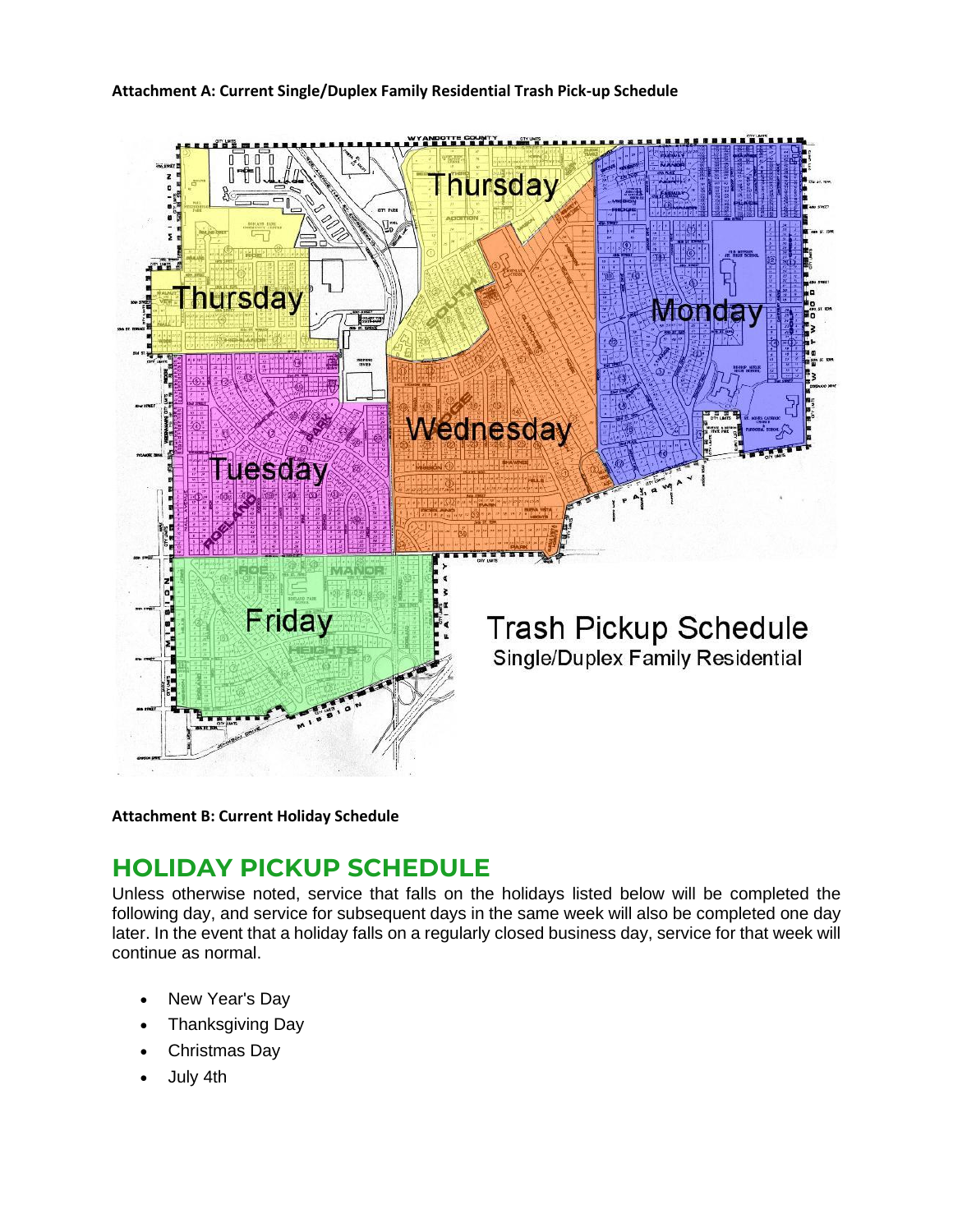



**Attachment B: Current Holiday Schedule**

# **HOLIDAY PICKUP SCHEDULE**

Unless otherwise noted, service that falls on the holidays listed below will be completed the following day, and service for subsequent days in the same week will also be completed one day later. In the event that a holiday falls on a regularly closed business day, service for that week will continue as normal.

- New Year's Day
- Thanksgiving Day
- Christmas Day
- July 4th